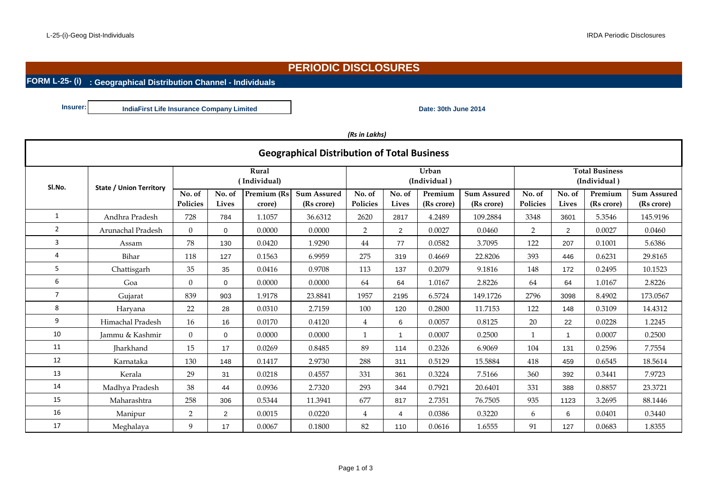## **PERIODIC DISCLOSURES**

#### **FORM L-25- (i) : Geographical Distribution Channel - Individuals**

**Insurer: Date: 30th June 2014 IndiaFirst Life Insurance Company Limited**

|  | (Rs in Lakhs) |
|--|---------------|
|--|---------------|

|                |                                |                           |                       |                              | <b>Geographical Distribution of Total Business</b> |                    |                       |                       |                                       |                           |                 |                       |                                  |
|----------------|--------------------------------|---------------------------|-----------------------|------------------------------|----------------------------------------------------|--------------------|-----------------------|-----------------------|---------------------------------------|---------------------------|-----------------|-----------------------|----------------------------------|
| SI.No.         | <b>State / Union Territory</b> |                           | Rural<br>(Individual) |                              |                                                    |                    | Urban<br>(Individual) |                       | <b>Total Business</b><br>(Individual) |                           |                 |                       |                                  |
|                |                                | No. of<br><b>Policies</b> | No. of<br>Lives       | <b>Premium (Rs</b><br>crore) | <b>Sum Assured</b><br>(Rs crore)                   | No. of<br>Policies | No. of<br>Lives       | Premium<br>(Rs crore) | <b>Sum Assured</b><br>(Rs crore)      | No. of<br><b>Policies</b> | No. of<br>Lives | Premium<br>(Rs crore) | <b>Sum Assured</b><br>(Rs crore) |
| 1              | Andhra Pradesh                 | 728                       | 784                   | 1.1057                       | 36.6312                                            | 2620               | 2817                  | 4.2489                | 109.2884                              | 3348                      | 3601            | 5.3546                | 145.9196                         |
| $\overline{2}$ | Arunachal Pradesh              | $\overline{0}$            | 0                     | 0.0000                       | 0.0000                                             | $\overline{2}$     | $\overline{2}$        | 0.0027                | 0.0460                                | $\overline{2}$            | $\overline{2}$  | 0.0027                | 0.0460                           |
| 3              | Assam                          | 78                        | 130                   | 0.0420                       | 1.9290                                             | 44                 | 77                    | 0.0582                | 3.7095                                | 122                       | 207             | 0.1001                | 5.6386                           |
| 4              | Bihar                          | 118                       | 127                   | 0.1563                       | 6.9959                                             | 275                | 319                   | 0.4669                | 22.8206                               | 393                       | 446             | 0.6231                | 29.8165                          |
| 5              | Chattisgarh                    | 35                        | 35                    | 0.0416                       | 0.9708                                             | 113                | 137                   | 0.2079                | 9.1816                                | 148                       | 172             | 0.2495                | 10.1523                          |
| 6              | Goa                            | $\Omega$                  | $\Omega$              | 0.0000                       | 0.0000                                             | 64                 | 64                    | 1.0167                | 2.8226                                | 64                        | 64              | 1.0167                | 2.8226                           |
| $\overline{7}$ | Gujarat                        | 839                       | 903                   | 1.9178                       | 23.8841                                            | 1957               | 2195                  | 6.5724                | 149.1726                              | 2796                      | 3098            | 8.4902                | 173.0567                         |
| 8              | Haryana                        | 22                        | 28                    | 0.0310                       | 2.7159                                             | 100                | 120                   | 0.2800                | 11.7153                               | 122                       | 148             | 0.3109                | 14.4312                          |
| 9              | Himachal Pradesh               | 16                        | 16                    | 0.0170                       | 0.4120                                             | $\overline{4}$     | 6                     | 0.0057                | 0.8125                                | 20                        | 22              | 0.0228                | 1.2245                           |
| 10             | Jammu & Kashmir                | $\Omega$                  | 0                     | 0.0000                       | 0.0000                                             | 1                  |                       | 0.0007                | 0.2500                                | $\mathbf{1}$              |                 | 0.0007                | 0.2500                           |
| 11             | <b>Iharkhand</b>               | 15                        | 17                    | 0.0269                       | 0.8485                                             | 89                 | 114                   | 0.2326                | 6.9069                                | 104                       | 131             | 0.2596                | 7.7554                           |
| 12             | Karnataka                      | 130                       | 148                   | 0.1417                       | 2.9730                                             | 288                | 311                   | 0.5129                | 15.5884                               | 418                       | 459             | 0.6545                | 18.5614                          |
| 13             | Kerala                         | 29                        | 31                    | 0.0218                       | 0.4557                                             | 331                | 361                   | 0.3224                | 7.5166                                | 360                       | 392             | 0.3441                | 7.9723                           |
| 14             | Madhya Pradesh                 | 38                        | 44                    | 0.0936                       | 2.7320                                             | 293                | 344                   | 0.7921                | 20.6401                               | 331                       | 388             | 0.8857                | 23.3721                          |
| 15             | Maharashtra                    | 258                       | 306                   | 0.5344                       | 11.3941                                            | 677                | 817                   | 2.7351                | 76.7505                               | 935                       | 1123            | 3.2695                | 88.1446                          |
| 16             | Manipur                        | $\overline{2}$            | $\overline{2}$        | 0.0015                       | 0.0220                                             | 4                  | 4                     | 0.0386                | 0.3220                                | 6                         | 6               | 0.0401                | 0.3440                           |
| 17             | Meghalaya                      | 9                         | 17                    | 0.0067                       | 0.1800                                             | 82                 | 110                   | 0.0616                | 1.6555                                | 91                        | 127             | 0.0683                | 1.8355                           |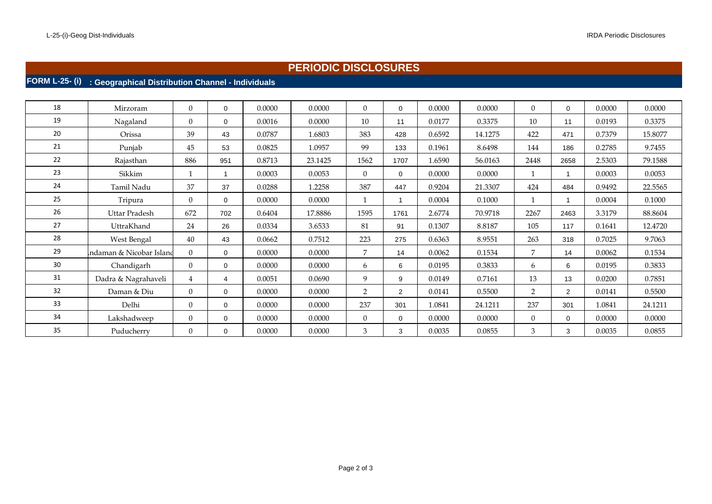## **PERIODIC DISCLOSURES**

# **FORM L-25- (i) : Geographical Distribution Channel - Individuals**

| 18 | Mirzoram                | $\overline{0}$ | $\Omega$    | 0.0000 | 0.0000  | $\Omega$       | $\Omega$       | 0.0000 | 0.0000  | $\Omega$       | $\Omega$       | 0.0000 | 0.0000  |
|----|-------------------------|----------------|-------------|--------|---------|----------------|----------------|--------|---------|----------------|----------------|--------|---------|
| 19 | Nagaland                | $\Omega$       | $\Omega$    | 0.0016 | 0.0000  | 10             | 11             | 0.0177 | 0.3375  | 10             | 11             | 0.0193 | 0.3375  |
| 20 | Orissa                  | 39             | 43          | 0.0787 | 1.6803  | 383            | 428            | 0.6592 | 14.1275 | 422            | 471            | 0.7379 | 15.8077 |
| 21 | Punjab                  | 45             | 53          | 0.0825 | 1.0957  | 99             | 133            | 0.1961 | 8.6498  | 144            | 186            | 0.2785 | 9.7455  |
| 22 | Rajasthan               | 886            | 951         | 0.8713 | 23.1425 | 1562           | 1707           | 1.6590 | 56.0163 | 2448           | 2658           | 2.5303 | 79.1588 |
| 23 | Sikkim                  |                |             | 0.0003 | 0.0053  | $\Omega$       | $\Omega$       | 0.0000 | 0.0000  | $\mathbf{1}$   | $\overline{ }$ | 0.0003 | 0.0053  |
| 24 | Tamil Nadu              | 37             | 37          | 0.0288 | 1.2258  | 387            | 447            | 0.9204 | 21.3307 | 424            | 484            | 0.9492 | 22.5565 |
| 25 | Tripura                 | $\overline{0}$ | $\Omega$    | 0.0000 | 0.0000  | $\mathbf{1}$   |                | 0.0004 | 0.1000  | $\mathbf{1}$   |                | 0.0004 | 0.1000  |
| 26 | Uttar Pradesh           | 672            | 702         | 0.6404 | 17.8886 | 1595           | 1761           | 2.6774 | 70.9718 | 2267           | 2463           | 3.3179 | 88.8604 |
| 27 | UttraKhand              | 24             | 26          | 0.0334 | 3.6533  | 81             | 91             | 0.1307 | 8.8187  | 105            | 117            | 0.1641 | 12.4720 |
| 28 | West Bengal             | 40             | 43          | 0.0662 | 0.7512  | 223            | 275            | 0.6363 | 8.9551  | 263            | 318            | 0.7025 | 9.7063  |
| 29 | ndaman & Nicobar Island | $\Omega$       | 0           | 0.0000 | 0.0000  | $7^{\circ}$    | 14             | 0.0062 | 0.1534  | $\overline{7}$ | 14             | 0.0062 | 0.1534  |
| 30 | Chandigarh              | $\Omega$       | $\Omega$    | 0.0000 | 0.0000  | 6              | 6              | 0.0195 | 0.3833  | 6              | 6              | 0.0195 | 0.3833  |
| 31 | Dadra & Nagrahaveli     | 4              | 4           | 0.0051 | 0.0690  | 9              | 9              | 0.0149 | 0.7161  | 13             | 13             | 0.0200 | 0.7851  |
| 32 | Daman & Diu             | $\Omega$       | $\mathbf 0$ | 0.0000 | 0.0000  | $\overline{2}$ | $\overline{2}$ | 0.0141 | 0.5500  | 2              | $\overline{2}$ | 0.0141 | 0.5500  |
| 33 | Delhi                   | $\Omega$       | $\Omega$    | 0.0000 | 0.0000  | 237            | 301            | 1.0841 | 24.1211 | 237            | 301            | 1.0841 | 24.1211 |
| 34 | Lakshadweep             | $\overline{0}$ | 0           | 0.0000 | 0.0000  | $\Omega$       | $\Omega$       | 0.0000 | 0.0000  | $\overline{0}$ | $\Omega$       | 0.0000 | 0.0000  |
| 35 | Puducherry              | $\overline{0}$ | 0           | 0.0000 | 0.0000  | 3              | 3              | 0.0035 | 0.0855  | 3              | 3              | 0.0035 | 0.0855  |